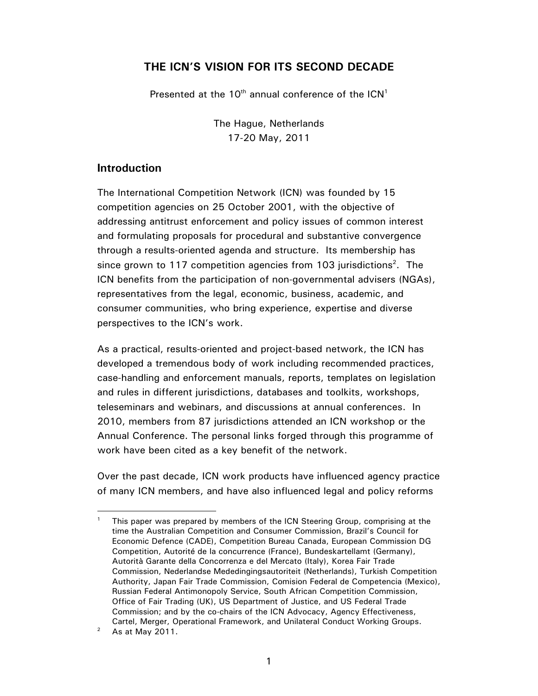### **THE ICN'S VISION FOR ITS SECOND DECADE**

Presented at the  $10^{th}$  annual conference of the  $ICN<sup>1</sup>$ 

The Hague, Netherlands 17-20 May, 2011

### **Introduction**

The International Competition Network (ICN) was founded by 15 competition agencies on 25 October 2001, with the objective of addressing antitrust enforcement and policy issues of common interest and formulating proposals for procedural and substantive convergence through a results-oriented agenda and structure. Its membership has since grown to 117 competition agencies from 103 jurisdictions<sup>2</sup>. The ICN benefits from the participation of non-governmental advisers (NGAs), representatives from the legal, economic, business, academic, and consumer communities, who bring experience, expertise and diverse perspectives to the ICN's work.

As a practical, results-oriented and project-based network, the ICN has developed a tremendous body of work including recommended practices, case-handling and enforcement manuals, reports, templates on legislation and rules in different jurisdictions, databases and toolkits, workshops, teleseminars and webinars, and discussions at annual conferences. In 2010, members from 87 jurisdictions attended an ICN workshop or the Annual Conference. The personal links forged through this programme of work have been cited as a key benefit of the network.

Over the past decade, ICN work products have influenced agency practice of many ICN members, and have also influenced legal and policy reforms

-

<sup>1</sup> This paper was prepared by members of the ICN Steering Group, comprising at the time the Australian Competition and Consumer Commission, Brazil's Council for Economic Defence (CADE), Competition Bureau Canada, European Commission DG Competition, Autorité de la concurrence (France), Bundeskartellamt (Germany), Autorità Garante della Concorrenza e del Mercato (Italy), Korea Fair Trade Commission, Nederlandse Mededingingsautoriteit (Netherlands), Turkish Competition Authority, Japan Fair Trade Commission, Comision Federal de Competencia (Mexico), Russian Federal Antimonopoly Service, South African Competition Commission, Office of Fair Trading (UK), US Department of Justice, and US Federal Trade Commission; and by the co-chairs of the ICN Advocacy, Agency Effectiveness, Cartel, Merger, Operational Framework, and Unilateral Conduct Working Groups.<br><sup>2</sup> As at May 2011

As at May 2011.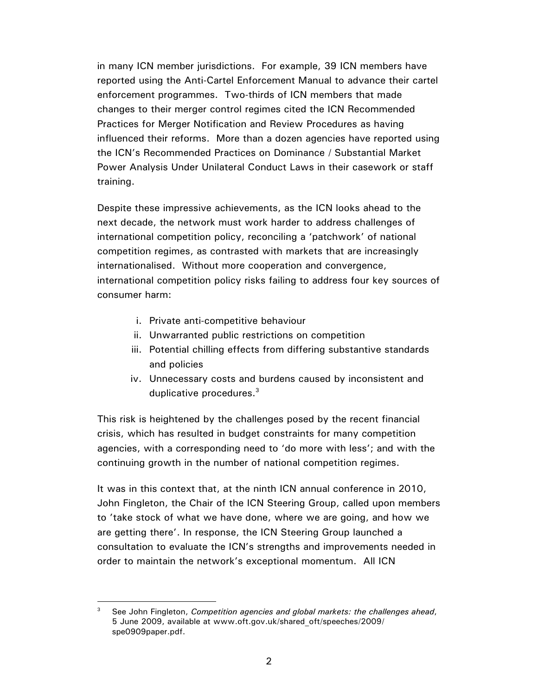in many ICN member jurisdictions. For example, 39 ICN members have reported using the Anti-Cartel Enforcement Manual to advance their cartel enforcement programmes. Two-thirds of ICN members that made changes to their merger control regimes cited the ICN Recommended Practices for Merger Notification and Review Procedures as having influenced their reforms. More than a dozen agencies have reported using the ICN's Recommended Practices on Dominance / Substantial Market Power Analysis Under Unilateral Conduct Laws in their casework or staff training.

Despite these impressive achievements, as the ICN looks ahead to the next decade, the network must work harder to address challenges of international competition policy, reconciling a 'patchwork' of national competition regimes, as contrasted with markets that are increasingly internationalised. Without more cooperation and convergence, international competition policy risks failing to address four key sources of consumer harm:

- i. Private anti-competitive behaviour
- ii. Unwarranted public restrictions on competition
- iii. Potential chilling effects from differing substantive standards and policies
- iv. Unnecessary costs and burdens caused by inconsistent and duplicative procedures.<sup>3</sup>

This risk is heightened by the challenges posed by the recent financial crisis, which has resulted in budget constraints for many competition agencies, with a corresponding need to 'do more with less'; and with the continuing growth in the number of national competition regimes.

It was in this context that, at the ninth ICN annual conference in 2010, John Fingleton, the Chair of the ICN Steering Group, called upon members to 'take stock of what we have done, where we are going, and how we are getting there'. In response, the ICN Steering Group launched a consultation to evaluate the ICN's strengths and improvements needed in order to maintain the network's exceptional momentum. All ICN

 $\overline{a}$ 3 See John Fingleton, *Competition agencies and global markets: the challenges ahead*, 5 June 2009, available at www.oft.gov.uk/shared\_oft/speeches/2009/ spe0909paper.pdf.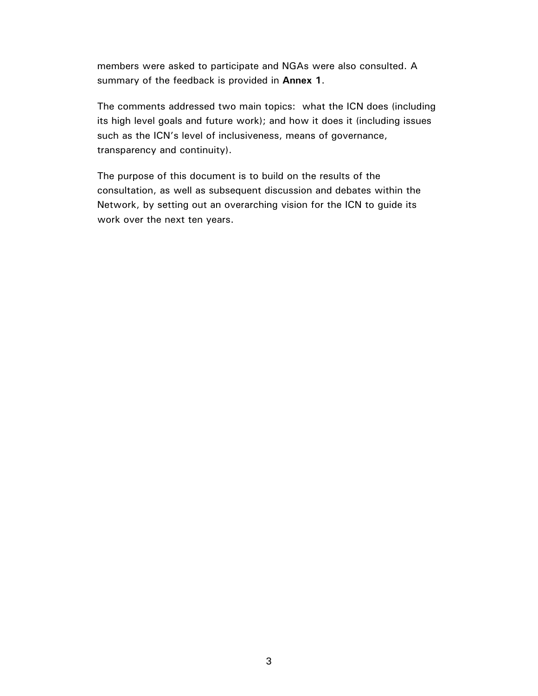members were asked to participate and NGAs were also consulted. A summary of the feedback is provided in **Annex 1**.

The comments addressed two main topics: what the ICN does (including its high level goals and future work); and how it does it (including issues such as the ICN's level of inclusiveness, means of governance, transparency and continuity).

The purpose of this document is to build on the results of the consultation, as well as subsequent discussion and debates within the Network, by setting out an overarching vision for the ICN to guide its work over the next ten years.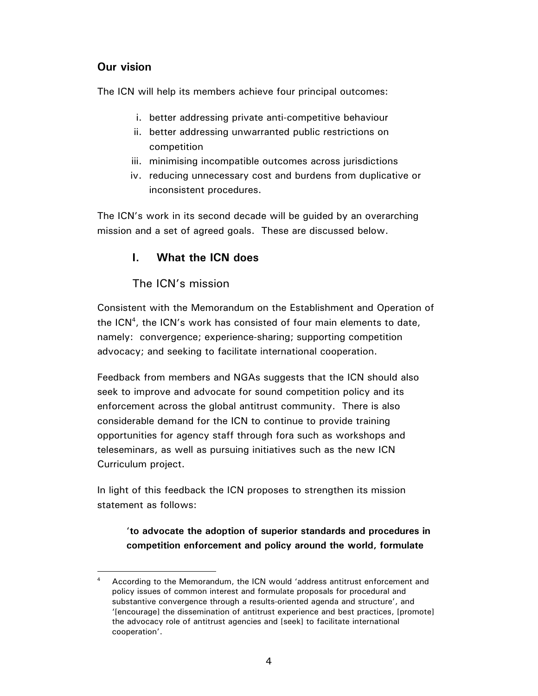# **Our vision**

The ICN will help its members achieve four principal outcomes:

- i. better addressing private anti-competitive behaviour
- ii. better addressing unwarranted public restrictions on competition
- iii. minimising incompatible outcomes across jurisdictions
- iv. reducing unnecessary cost and burdens from duplicative or inconsistent procedures.

The ICN's work in its second decade will be guided by an overarching mission and a set of agreed goals. These are discussed below.

## **I. What the ICN does**

## The ICN's mission

Consistent with the Memorandum on the Establishment and Operation of the ICN<sup>4</sup>, the ICN's work has consisted of four main elements to date, namely: convergence; experience-sharing; supporting competition advocacy; and seeking to facilitate international cooperation.

Feedback from members and NGAs suggests that the ICN should also seek to improve and advocate for sound competition policy and its enforcement across the global antitrust community. There is also considerable demand for the ICN to continue to provide training opportunities for agency staff through fora such as workshops and teleseminars, as well as pursuing initiatives such as the new ICN Curriculum project.

In light of this feedback the ICN proposes to strengthen its mission statement as follows:

## '**to advocate the adoption of superior standards and procedures in competition enforcement and policy around the world, formulate**

<sup>-</sup>4 According to the Memorandum, the ICN would 'address antitrust enforcement and policy issues of common interest and formulate proposals for procedural and substantive convergence through a results-oriented agenda and structure', and '[encourage] the dissemination of antitrust experience and best practices, [promote] the advocacy role of antitrust agencies and [seek] to facilitate international cooperation'.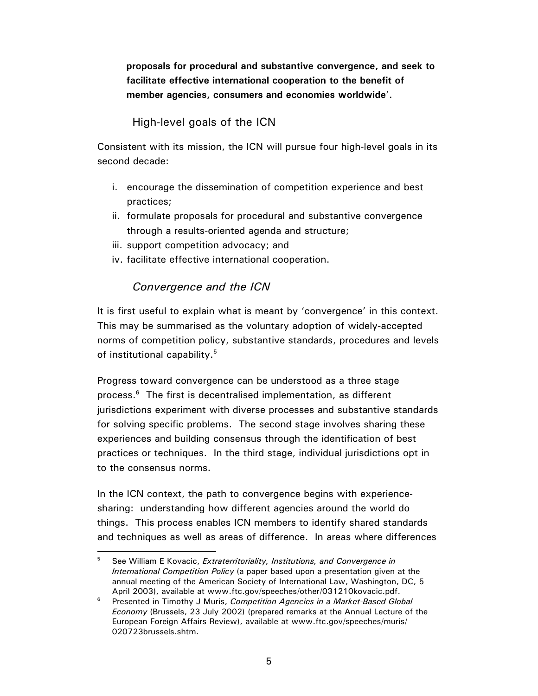**proposals for procedural and substantive convergence, and seek to facilitate effective international cooperation to the benefit of member agencies, consumers and economies worldwide**'.

# High-level goals of the ICN

Consistent with its mission, the ICN will pursue four high-level goals in its second decade:

- i. encourage the dissemination of competition experience and best practices;
- ii. formulate proposals for procedural and substantive convergence through a results-oriented agenda and structure;
- iii. support competition advocacy; and
- iv. facilitate effective international cooperation.

# *Convergence and the ICN*

 $\overline{a}$ 

It is first useful to explain what is meant by 'convergence' in this context. This may be summarised as the voluntary adoption of widely-accepted norms of competition policy, substantive standards, procedures and levels of institutional capability.<sup>5</sup>

Progress toward convergence can be understood as a three stage process.<sup>6</sup> The first is decentralised implementation, as different jurisdictions experiment with diverse processes and substantive standards for solving specific problems. The second stage involves sharing these experiences and building consensus through the identification of best practices or techniques. In the third stage, individual jurisdictions opt in to the consensus norms.

In the ICN context, the path to convergence begins with experiencesharing: understanding how different agencies around the world do things. This process enables ICN members to identify shared standards and techniques as well as areas of difference. In areas where differences

<sup>5</sup> See William E Kovacic, *Extraterritoriality, Institutions, and Convergence in International Competition Policy* (a paper based upon a presentation given at the annual meeting of the American Society of International Law, Washington, DC, 5 April 2003), available at www.ftc.gov/speeches/other/031210kovacic.pdf.<br><sup>6</sup> Presented in Timethy J Murie, Compatition Agencies in a Market Beard Cle

Presented in Timothy J Muris, *Competition Agencies in a Market-Based Global Economy* (Brussels, 23 July 2002) (prepared remarks at the Annual Lecture of the European Foreign Affairs Review), available at www.ftc.gov/speeches/muris/ 020723brussels.shtm.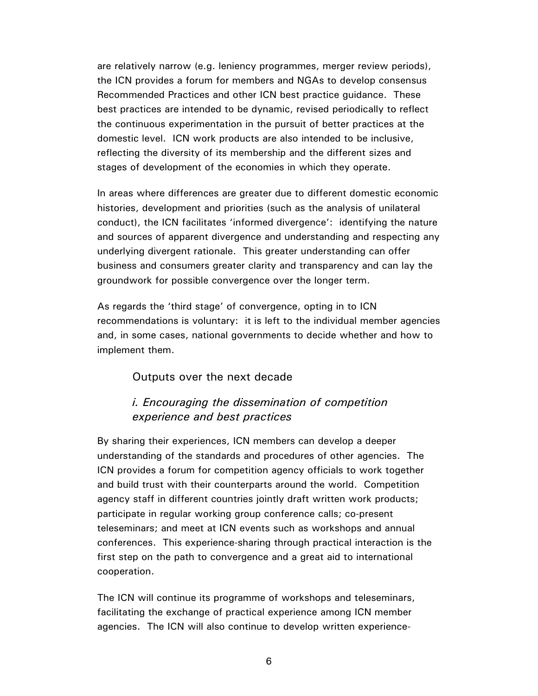are relatively narrow (e.g. leniency programmes, merger review periods), the ICN provides a forum for members and NGAs to develop consensus Recommended Practices and other ICN best practice guidance. These best practices are intended to be dynamic, revised periodically to reflect the continuous experimentation in the pursuit of better practices at the domestic level. ICN work products are also intended to be inclusive, reflecting the diversity of its membership and the different sizes and stages of development of the economies in which they operate.

In areas where differences are greater due to different domestic economic histories, development and priorities (such as the analysis of unilateral conduct), the ICN facilitates 'informed divergence': identifying the nature and sources of apparent divergence and understanding and respecting any underlying divergent rationale. This greater understanding can offer business and consumers greater clarity and transparency and can lay the groundwork for possible convergence over the longer term.

As regards the 'third stage' of convergence, opting in to ICN recommendations is voluntary: it is left to the individual member agencies and, in some cases, national governments to decide whether and how to implement them.

### Outputs over the next decade

### *i. Encouraging the dissemination of competition experience and best practices*

By sharing their experiences, ICN members can develop a deeper understanding of the standards and procedures of other agencies. The ICN provides a forum for competition agency officials to work together and build trust with their counterparts around the world. Competition agency staff in different countries jointly draft written work products; participate in regular working group conference calls; co-present teleseminars; and meet at ICN events such as workshops and annual conferences. This experience-sharing through practical interaction is the first step on the path to convergence and a great aid to international cooperation.

The ICN will continue its programme of workshops and teleseminars, facilitating the exchange of practical experience among ICN member agencies. The ICN will also continue to develop written experience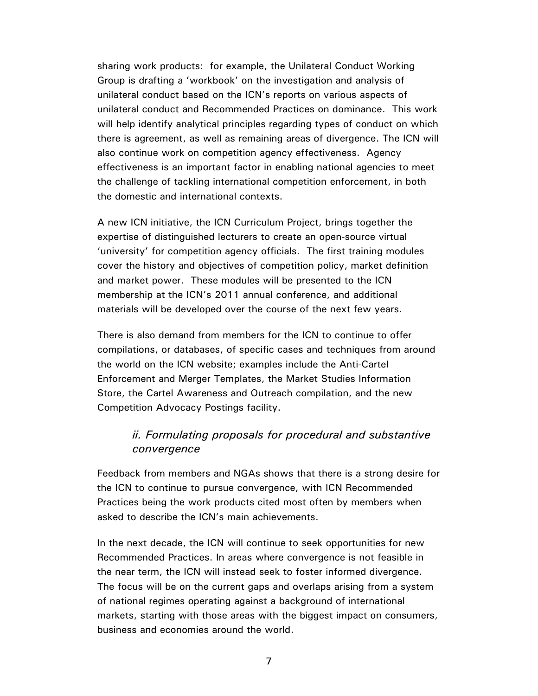sharing work products: for example, the Unilateral Conduct Working Group is drafting a 'workbook' on the investigation and analysis of unilateral conduct based on the ICN's reports on various aspects of unilateral conduct and Recommended Practices on dominance. This work will help identify analytical principles regarding types of conduct on which there is agreement, as well as remaining areas of divergence. The ICN will also continue work on competition agency effectiveness. Agency effectiveness is an important factor in enabling national agencies to meet the challenge of tackling international competition enforcement, in both the domestic and international contexts.

A new ICN initiative, the ICN Curriculum Project, brings together the expertise of distinguished lecturers to create an open-source virtual 'university' for competition agency officials. The first training modules cover the history and objectives of competition policy, market definition and market power. These modules will be presented to the ICN membership at the ICN's 2011 annual conference, and additional materials will be developed over the course of the next few years.

There is also demand from members for the ICN to continue to offer compilations, or databases, of specific cases and techniques from around the world on the ICN website; examples include the Anti-Cartel Enforcement and Merger Templates, the Market Studies Information Store, the Cartel Awareness and Outreach compilation, and the new Competition Advocacy Postings facility.

## *ii. Formulating proposals for procedural and substantive convergence*

Feedback from members and NGAs shows that there is a strong desire for the ICN to continue to pursue convergence, with ICN Recommended Practices being the work products cited most often by members when asked to describe the ICN's main achievements.

In the next decade, the ICN will continue to seek opportunities for new Recommended Practices. In areas where convergence is not feasible in the near term, the ICN will instead seek to foster informed divergence. The focus will be on the current gaps and overlaps arising from a system of national regimes operating against a background of international markets, starting with those areas with the biggest impact on consumers, business and economies around the world.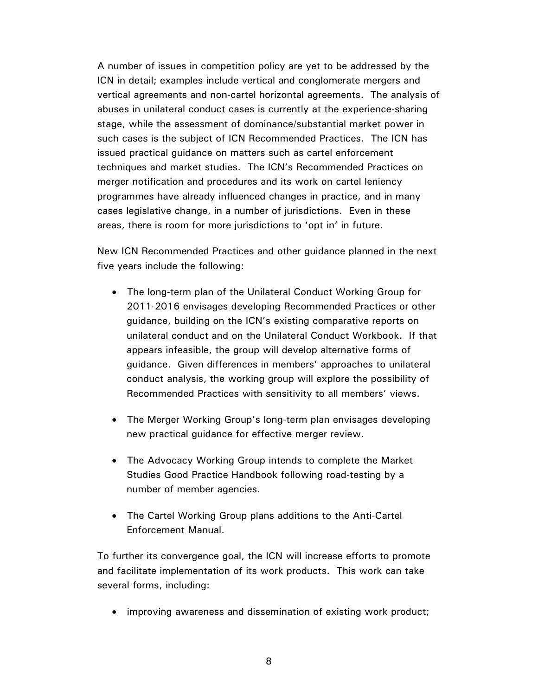A number of issues in competition policy are yet to be addressed by the ICN in detail; examples include vertical and conglomerate mergers and vertical agreements and non-cartel horizontal agreements. The analysis of abuses in unilateral conduct cases is currently at the experience-sharing stage, while the assessment of dominance/substantial market power in such cases is the subject of ICN Recommended Practices. The ICN has issued practical guidance on matters such as cartel enforcement techniques and market studies. The ICN's Recommended Practices on merger notification and procedures and its work on cartel leniency programmes have already influenced changes in practice, and in many cases legislative change, in a number of jurisdictions. Even in these areas, there is room for more jurisdictions to 'opt in' in future.

New ICN Recommended Practices and other guidance planned in the next five years include the following:

- The long-term plan of the Unilateral Conduct Working Group for 2011-2016 envisages developing Recommended Practices or other guidance, building on the ICN's existing comparative reports on unilateral conduct and on the Unilateral Conduct Workbook. If that appears infeasible, the group will develop alternative forms of guidance. Given differences in members' approaches to unilateral conduct analysis, the working group will explore the possibility of Recommended Practices with sensitivity to all members' views.
- The Merger Working Group's long-term plan envisages developing new practical guidance for effective merger review.
- The Advocacy Working Group intends to complete the Market Studies Good Practice Handbook following road-testing by a number of member agencies.
- The Cartel Working Group plans additions to the Anti-Cartel Enforcement Manual.

To further its convergence goal, the ICN will increase efforts to promote and facilitate implementation of its work products. This work can take several forms, including:

• improving awareness and dissemination of existing work product;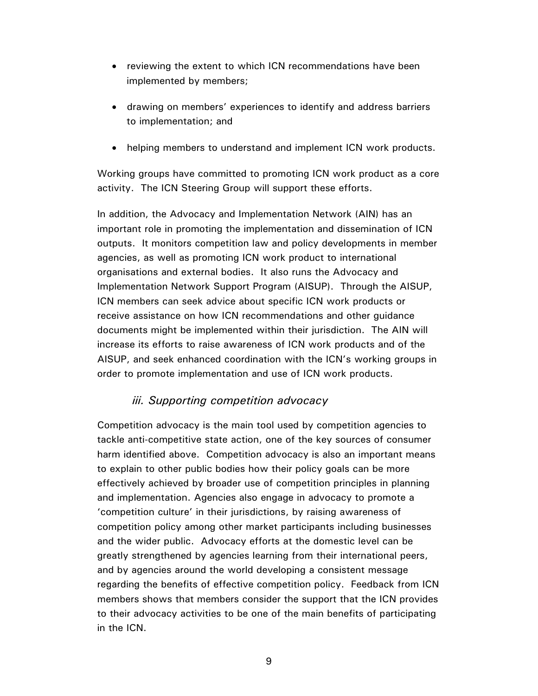- reviewing the extent to which ICN recommendations have been implemented by members;
- drawing on members' experiences to identify and address barriers to implementation; and
- helping members to understand and implement ICN work products.

Working groups have committed to promoting ICN work product as a core activity. The ICN Steering Group will support these efforts.

In addition, the Advocacy and Implementation Network (AIN) has an important role in promoting the implementation and dissemination of ICN outputs. It monitors competition law and policy developments in member agencies, as well as promoting ICN work product to international organisations and external bodies. It also runs the Advocacy and Implementation Network Support Program (AISUP). Through the AISUP, ICN members can seek advice about specific ICN work products or receive assistance on how ICN recommendations and other guidance documents might be implemented within their jurisdiction. The AIN will increase its efforts to raise awareness of ICN work products and of the AISUP, and seek enhanced coordination with the ICN's working groups in order to promote implementation and use of ICN work products.

## *iii. Supporting competition advocacy*

Competition advocacy is the main tool used by competition agencies to tackle anti-competitive state action, one of the key sources of consumer harm identified above. Competition advocacy is also an important means to explain to other public bodies how their policy goals can be more effectively achieved by broader use of competition principles in planning and implementation. Agencies also engage in advocacy to promote a 'competition culture' in their jurisdictions, by raising awareness of competition policy among other market participants including businesses and the wider public. Advocacy efforts at the domestic level can be greatly strengthened by agencies learning from their international peers, and by agencies around the world developing a consistent message regarding the benefits of effective competition policy. Feedback from ICN members shows that members consider the support that the ICN provides to their advocacy activities to be one of the main benefits of participating in the ICN.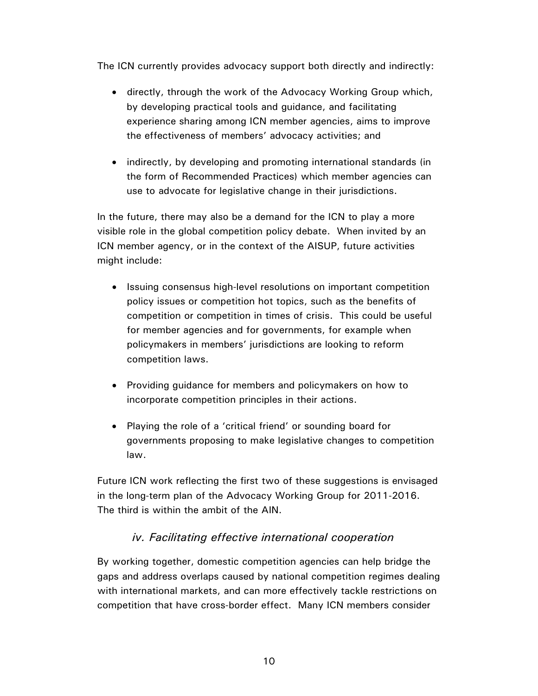The ICN currently provides advocacy support both directly and indirectly:

- directly, through the work of the Advocacy Working Group which, by developing practical tools and guidance, and facilitating experience sharing among ICN member agencies, aims to improve the effectiveness of members' advocacy activities; and
- indirectly, by developing and promoting international standards (in the form of Recommended Practices) which member agencies can use to advocate for legislative change in their jurisdictions.

In the future, there may also be a demand for the ICN to play a more visible role in the global competition policy debate. When invited by an ICN member agency, or in the context of the AISUP, future activities might include:

- Issuing consensus high-level resolutions on important competition policy issues or competition hot topics, such as the benefits of competition or competition in times of crisis. This could be useful for member agencies and for governments, for example when policymakers in members' jurisdictions are looking to reform competition laws.
- Providing guidance for members and policymakers on how to incorporate competition principles in their actions.
- Playing the role of a 'critical friend' or sounding board for governments proposing to make legislative changes to competition law.

Future ICN work reflecting the first two of these suggestions is envisaged in the long-term plan of the Advocacy Working Group for 2011-2016. The third is within the ambit of the AIN.

## *iv. Facilitating effective international cooperation*

By working together, domestic competition agencies can help bridge the gaps and address overlaps caused by national competition regimes dealing with international markets, and can more effectively tackle restrictions on competition that have cross-border effect. Many ICN members consider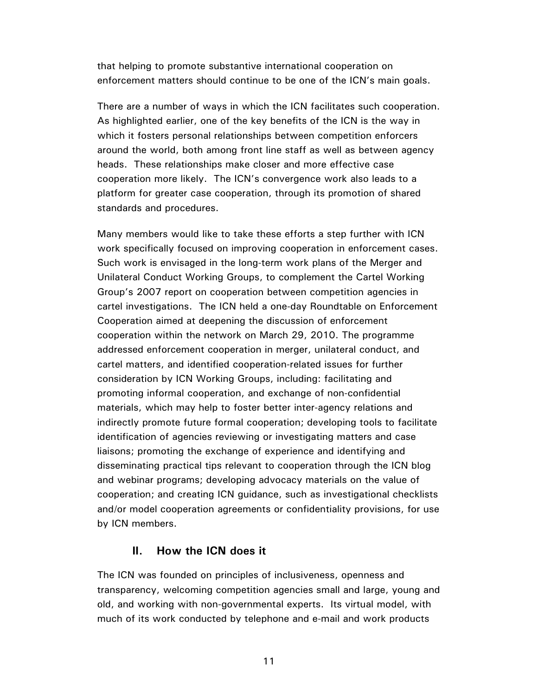that helping to promote substantive international cooperation on enforcement matters should continue to be one of the ICN's main goals.

There are a number of ways in which the ICN facilitates such cooperation. As highlighted earlier, one of the key benefits of the ICN is the way in which it fosters personal relationships between competition enforcers around the world, both among front line staff as well as between agency heads. These relationships make closer and more effective case cooperation more likely. The ICN's convergence work also leads to a platform for greater case cooperation, through its promotion of shared standards and procedures.

Many members would like to take these efforts a step further with ICN work specifically focused on improving cooperation in enforcement cases. Such work is envisaged in the long-term work plans of the Merger and Unilateral Conduct Working Groups, to complement the Cartel Working Group's 2007 report on cooperation between competition agencies in cartel investigations. The ICN held a one-day Roundtable on Enforcement Cooperation aimed at deepening the discussion of enforcement cooperation within the network on March 29, 2010. The programme addressed enforcement cooperation in merger, unilateral conduct, and cartel matters, and identified cooperation-related issues for further consideration by ICN Working Groups, including: facilitating and promoting informal cooperation, and exchange of non-confidential materials, which may help to foster better inter-agency relations and indirectly promote future formal cooperation; developing tools to facilitate identification of agencies reviewing or investigating matters and case liaisons; promoting the exchange of experience and identifying and disseminating practical tips relevant to cooperation through the ICN blog and webinar programs; developing advocacy materials on the value of cooperation; and creating ICN guidance, such as investigational checklists and/or model cooperation agreements or confidentiality provisions, for use by ICN members.

### **II. How the ICN does it**

The ICN was founded on principles of inclusiveness, openness and transparency, welcoming competition agencies small and large, young and old, and working with non-governmental experts. Its virtual model, with much of its work conducted by telephone and e-mail and work products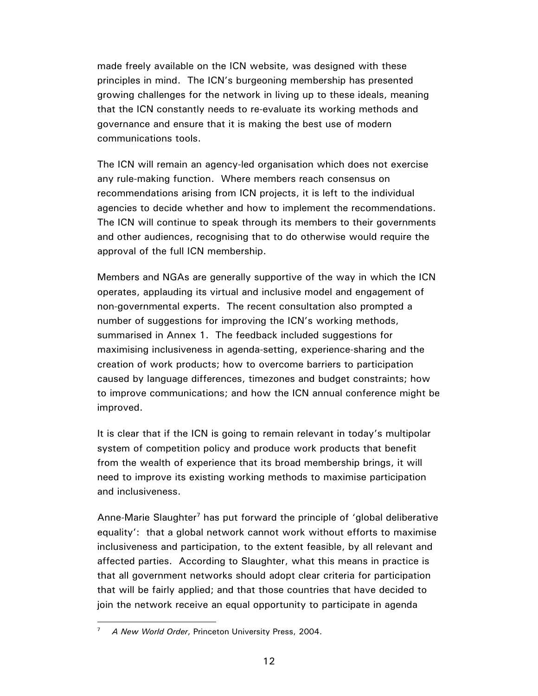made freely available on the ICN website, was designed with these principles in mind. The ICN's burgeoning membership has presented growing challenges for the network in living up to these ideals, meaning that the ICN constantly needs to re-evaluate its working methods and governance and ensure that it is making the best use of modern communications tools.

The ICN will remain an agency-led organisation which does not exercise any rule-making function. Where members reach consensus on recommendations arising from ICN projects, it is left to the individual agencies to decide whether and how to implement the recommendations. The ICN will continue to speak through its members to their governments and other audiences, recognising that to do otherwise would require the approval of the full ICN membership.

Members and NGAs are generally supportive of the way in which the ICN operates, applauding its virtual and inclusive model and engagement of non-governmental experts. The recent consultation also prompted a number of suggestions for improving the ICN's working methods, summarised in Annex 1. The feedback included suggestions for maximising inclusiveness in agenda-setting, experience-sharing and the creation of work products; how to overcome barriers to participation caused by language differences, timezones and budget constraints; how to improve communications; and how the ICN annual conference might be improved.

It is clear that if the ICN is going to remain relevant in today's multipolar system of competition policy and produce work products that benefit from the wealth of experience that its broad membership brings, it will need to improve its existing working methods to maximise participation and inclusiveness.

Anne-Marie Slaughter<sup>7</sup> has put forward the principle of 'global deliberative equality': that a global network cannot work without efforts to maximise inclusiveness and participation, to the extent feasible, by all relevant and affected parties. According to Slaughter, what this means in practice is that all government networks should adopt clear criteria for participation that will be fairly applied; and that those countries that have decided to join the network receive an equal opportunity to participate in agenda

 $\overline{a}$ 

<sup>7</sup> *A New World Order*, Princeton University Press, 2004.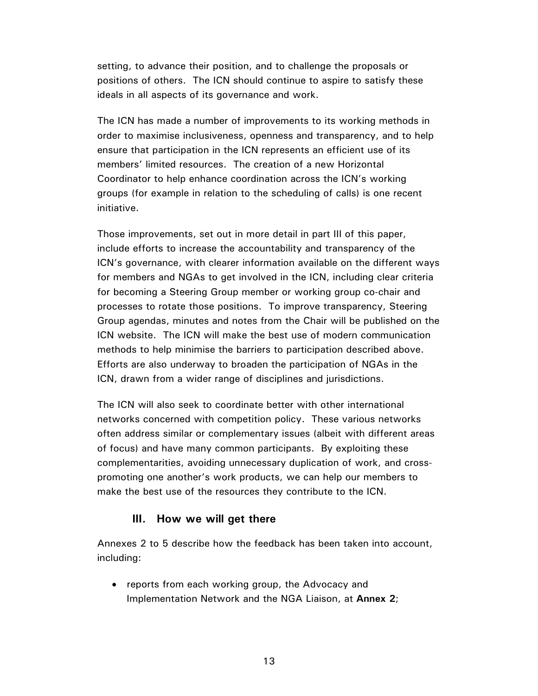setting, to advance their position, and to challenge the proposals or positions of others. The ICN should continue to aspire to satisfy these ideals in all aspects of its governance and work.

The ICN has made a number of improvements to its working methods in order to maximise inclusiveness, openness and transparency, and to help ensure that participation in the ICN represents an efficient use of its members' limited resources. The creation of a new Horizontal Coordinator to help enhance coordination across the ICN's working groups (for example in relation to the scheduling of calls) is one recent initiative.

Those improvements, set out in more detail in part III of this paper, include efforts to increase the accountability and transparency of the ICN's governance, with clearer information available on the different ways for members and NGAs to get involved in the ICN, including clear criteria for becoming a Steering Group member or working group co-chair and processes to rotate those positions. To improve transparency, Steering Group agendas, minutes and notes from the Chair will be published on the ICN website. The ICN will make the best use of modern communication methods to help minimise the barriers to participation described above. Efforts are also underway to broaden the participation of NGAs in the ICN, drawn from a wider range of disciplines and jurisdictions.

The ICN will also seek to coordinate better with other international networks concerned with competition policy. These various networks often address similar or complementary issues (albeit with different areas of focus) and have many common participants. By exploiting these complementarities, avoiding unnecessary duplication of work, and crosspromoting one another's work products, we can help our members to make the best use of the resources they contribute to the ICN.

### **III. How we will get there**

Annexes 2 to 5 describe how the feedback has been taken into account, including:

• reports from each working group, the Advocacy and Implementation Network and the NGA Liaison, at **Annex 2**;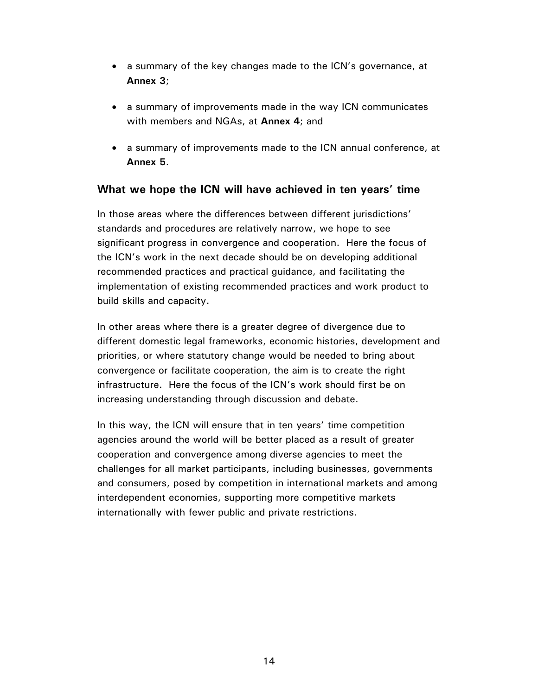- a summary of the key changes made to the ICN's governance, at **Annex 3**;
- a summary of improvements made in the way ICN communicates with members and NGAs, at **Annex 4**; and
- a summary of improvements made to the ICN annual conference, at **Annex 5**.

## **What we hope the ICN will have achieved in ten years' time**

In those areas where the differences between different jurisdictions' standards and procedures are relatively narrow, we hope to see significant progress in convergence and cooperation. Here the focus of the ICN's work in the next decade should be on developing additional recommended practices and practical guidance, and facilitating the implementation of existing recommended practices and work product to build skills and capacity.

In other areas where there is a greater degree of divergence due to different domestic legal frameworks, economic histories, development and priorities, or where statutory change would be needed to bring about convergence or facilitate cooperation, the aim is to create the right infrastructure. Here the focus of the ICN's work should first be on increasing understanding through discussion and debate.

In this way, the ICN will ensure that in ten years' time competition agencies around the world will be better placed as a result of greater cooperation and convergence among diverse agencies to meet the challenges for all market participants, including businesses, governments and consumers, posed by competition in international markets and among interdependent economies, supporting more competitive markets internationally with fewer public and private restrictions.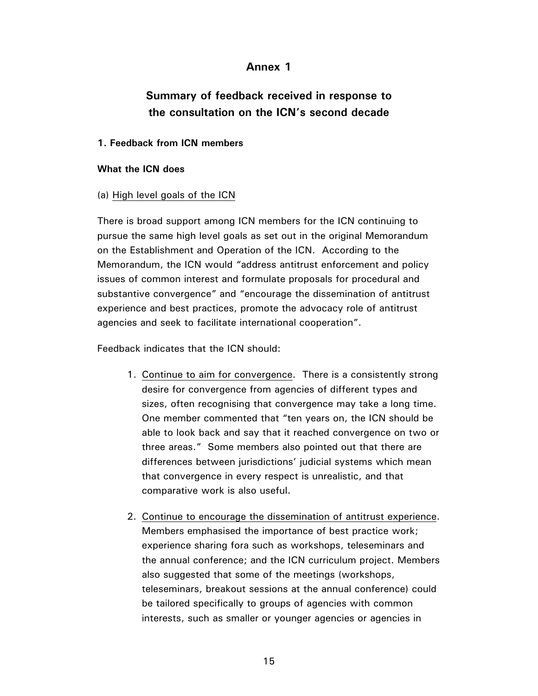### **Annex 1**

# **Summary of feedback received in response to the consultation on the ICN's second decade**

#### **1. Feedback from ICN members**

#### **What the ICN does**

#### (a) High level goals of the ICN

There is broad support among ICN members for the ICN continuing to pursue the same high level goals as set out in the original Memorandum on the Establishment and Operation of the ICN. According to the Memorandum, the ICN would "address antitrust enforcement and policy issues of common interest and formulate proposals for procedural and substantive convergence" and "encourage the dissemination of antitrust experience and best practices, promote the advocacy role of antitrust agencies and seek to facilitate international cooperation".

Feedback indicates that the ICN should:

- 1. Continue to aim for convergence. There is a consistently strong desire for convergence from agencies of different types and sizes, often recognising that convergence may take a long time. One member commented that "ten years on, the ICN should be able to look back and say that it reached convergence on two or three areas." Some members also pointed out that there are differences between jurisdictions' judicial systems which mean that convergence in every respect is unrealistic, and that comparative work is also useful.
- 2. Continue to encourage the dissemination of antitrust experience. Members emphasised the importance of best practice work; experience sharing fora such as workshops, teleseminars and the annual conference; and the ICN curriculum project. Members also suggested that some of the meetings (workshops, teleseminars, breakout sessions at the annual conference) could be tailored specifically to groups of agencies with common interests, such as smaller or younger agencies or agencies in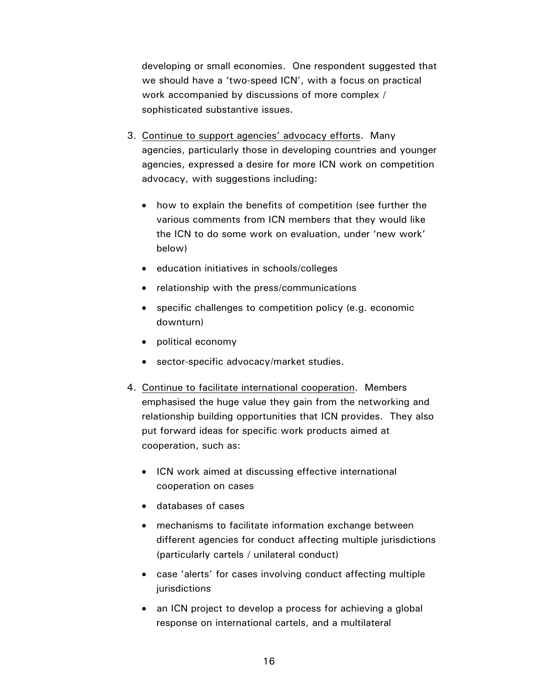developing or small economies. One respondent suggested that we should have a 'two-speed ICN', with a focus on practical work accompanied by discussions of more complex / sophisticated substantive issues.

- 3. Continue to support agencies' advocacy efforts. Many agencies, particularly those in developing countries and younger agencies, expressed a desire for more ICN work on competition advocacy, with suggestions including:
	- how to explain the benefits of competition (see further the various comments from ICN members that they would like the ICN to do some work on evaluation, under 'new work' below)
	- education initiatives in schools/colleges
	- relationship with the press/communications
	- specific challenges to competition policy (e.g. economic downturn)
	- political economy
	- sector-specific advocacy/market studies.
- 4. Continue to facilitate international cooperation. Members emphasised the huge value they gain from the networking and relationship building opportunities that ICN provides. They also put forward ideas for specific work products aimed at cooperation, such as:
	- ICN work aimed at discussing effective international cooperation on cases
	- databases of cases
	- mechanisms to facilitate information exchange between different agencies for conduct affecting multiple jurisdictions (particularly cartels / unilateral conduct)
	- case 'alerts' for cases involving conduct affecting multiple jurisdictions
	- an ICN project to develop a process for achieving a global response on international cartels, and a multilateral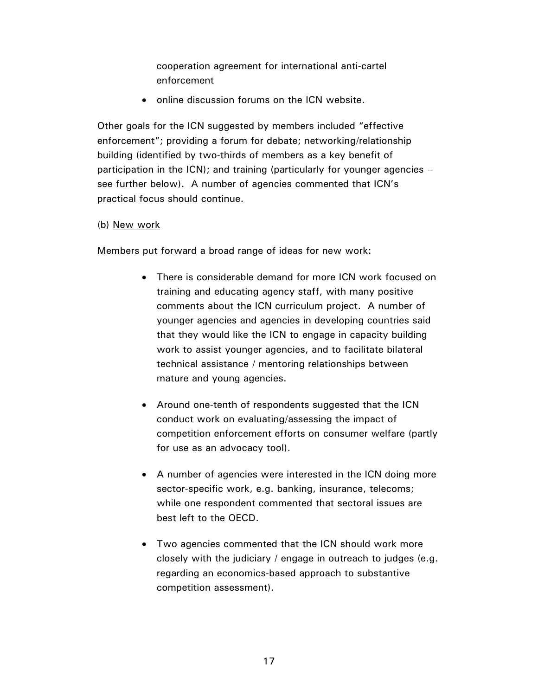cooperation agreement for international anti-cartel enforcement

• online discussion forums on the ICN website.

Other goals for the ICN suggested by members included "effective enforcement"; providing a forum for debate; networking/relationship building (identified by two-thirds of members as a key benefit of participation in the ICN); and training (particularly for younger agencies – see further below). A number of agencies commented that ICN's practical focus should continue.

#### (b) New work

Members put forward a broad range of ideas for new work:

- There is considerable demand for more ICN work focused on training and educating agency staff, with many positive comments about the ICN curriculum project. A number of younger agencies and agencies in developing countries said that they would like the ICN to engage in capacity building work to assist younger agencies, and to facilitate bilateral technical assistance / mentoring relationships between mature and young agencies.
- Around one-tenth of respondents suggested that the ICN conduct work on evaluating/assessing the impact of competition enforcement efforts on consumer welfare (partly for use as an advocacy tool).
- A number of agencies were interested in the ICN doing more sector-specific work, e.g. banking, insurance, telecoms; while one respondent commented that sectoral issues are best left to the OECD.
- Two agencies commented that the ICN should work more closely with the judiciary / engage in outreach to judges (e.g. regarding an economics-based approach to substantive competition assessment).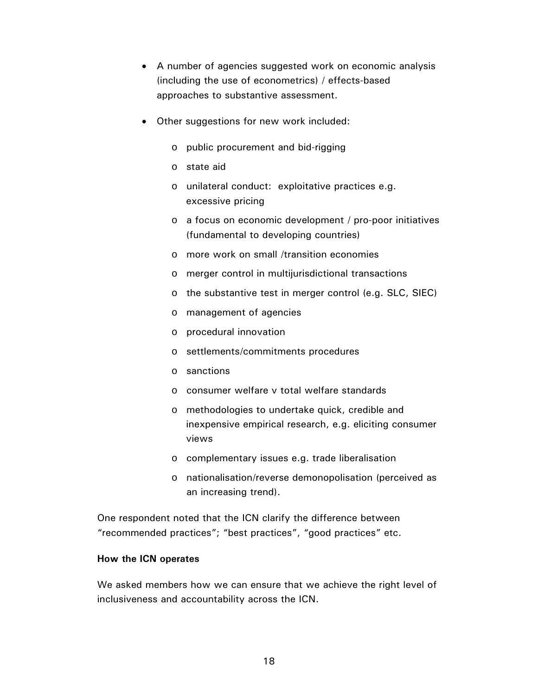- A number of agencies suggested work on economic analysis (including the use of econometrics) / effects-based approaches to substantive assessment.
- Other suggestions for new work included:
	- o public procurement and bid-rigging
	- o state aid
	- o unilateral conduct: exploitative practices e.g. excessive pricing
	- o a focus on economic development / pro-poor initiatives (fundamental to developing countries)
	- o more work on small /transition economies
	- o merger control in multijurisdictional transactions
	- o the substantive test in merger control (e.g. SLC, SIEC)
	- o management of agencies
	- o procedural innovation
	- o settlements/commitments procedures
	- o sanctions
	- o consumer welfare v total welfare standards
	- o methodologies to undertake quick, credible and inexpensive empirical research, e.g. eliciting consumer views
	- o complementary issues e.g. trade liberalisation
	- o nationalisation/reverse demonopolisation (perceived as an increasing trend).

One respondent noted that the ICN clarify the difference between "recommended practices"; "best practices", "good practices" etc.

#### **How the ICN operates**

We asked members how we can ensure that we achieve the right level of inclusiveness and accountability across the ICN.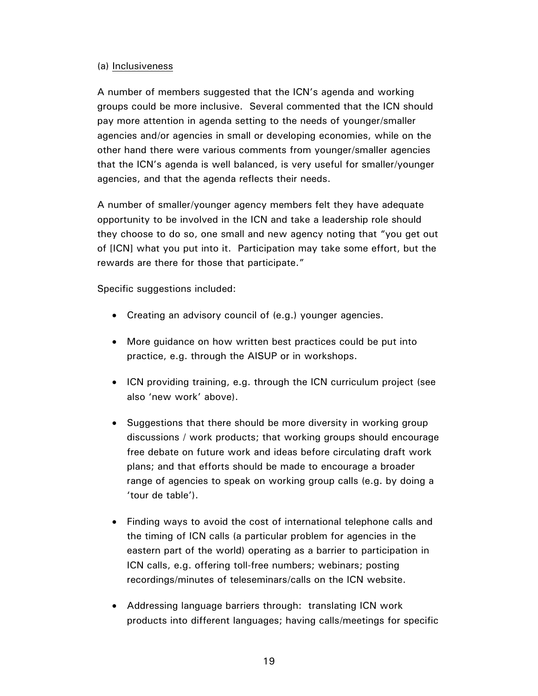#### (a) Inclusiveness

A number of members suggested that the ICN's agenda and working groups could be more inclusive. Several commented that the ICN should pay more attention in agenda setting to the needs of younger/smaller agencies and/or agencies in small or developing economies, while on the other hand there were various comments from younger/smaller agencies that the ICN's agenda is well balanced, is very useful for smaller/younger agencies, and that the agenda reflects their needs.

A number of smaller/younger agency members felt they have adequate opportunity to be involved in the ICN and take a leadership role should they choose to do so, one small and new agency noting that "you get out of [ICN] what you put into it. Participation may take some effort, but the rewards are there for those that participate."

Specific suggestions included:

- Creating an advisory council of (e.g.) younger agencies.
- More guidance on how written best practices could be put into practice, e.g. through the AISUP or in workshops.
- ICN providing training, e.g. through the ICN curriculum project (see also 'new work' above).
- Suggestions that there should be more diversity in working group discussions / work products; that working groups should encourage free debate on future work and ideas before circulating draft work plans; and that efforts should be made to encourage a broader range of agencies to speak on working group calls (e.g. by doing a 'tour de table').
- Finding ways to avoid the cost of international telephone calls and the timing of ICN calls (a particular problem for agencies in the eastern part of the world) operating as a barrier to participation in ICN calls, e.g. offering toll-free numbers; webinars; posting recordings/minutes of teleseminars/calls on the ICN website.
- Addressing language barriers through: translating ICN work products into different languages; having calls/meetings for specific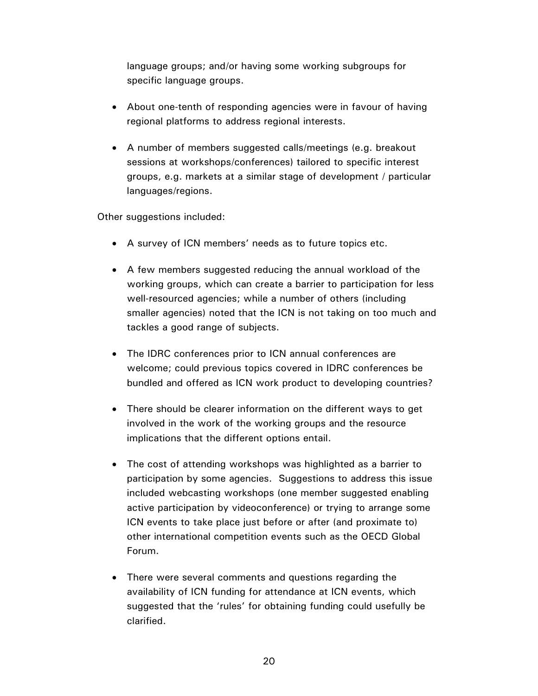language groups; and/or having some working subgroups for specific language groups.

- About one-tenth of responding agencies were in favour of having regional platforms to address regional interests.
- A number of members suggested calls/meetings (e.g. breakout sessions at workshops/conferences) tailored to specific interest groups, e.g. markets at a similar stage of development / particular languages/regions.

Other suggestions included:

- A survey of ICN members' needs as to future topics etc.
- A few members suggested reducing the annual workload of the working groups, which can create a barrier to participation for less well-resourced agencies; while a number of others (including smaller agencies) noted that the ICN is not taking on too much and tackles a good range of subjects.
- The IDRC conferences prior to ICN annual conferences are welcome; could previous topics covered in IDRC conferences be bundled and offered as ICN work product to developing countries?
- There should be clearer information on the different ways to get involved in the work of the working groups and the resource implications that the different options entail.
- The cost of attending workshops was highlighted as a barrier to participation by some agencies. Suggestions to address this issue included webcasting workshops (one member suggested enabling active participation by videoconference) or trying to arrange some ICN events to take place just before or after (and proximate to) other international competition events such as the OECD Global Forum.
- There were several comments and questions regarding the availability of ICN funding for attendance at ICN events, which suggested that the 'rules' for obtaining funding could usefully be clarified.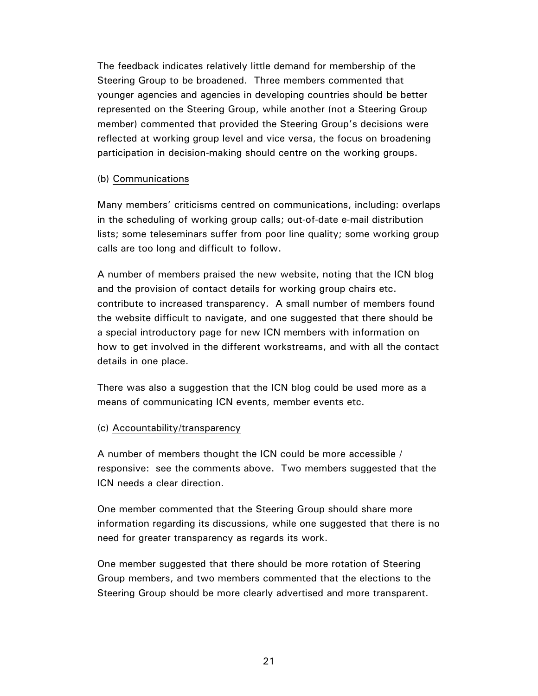The feedback indicates relatively little demand for membership of the Steering Group to be broadened. Three members commented that younger agencies and agencies in developing countries should be better represented on the Steering Group, while another (not a Steering Group member) commented that provided the Steering Group's decisions were reflected at working group level and vice versa, the focus on broadening participation in decision-making should centre on the working groups.

#### (b) Communications

Many members' criticisms centred on communications, including: overlaps in the scheduling of working group calls; out-of-date e-mail distribution lists; some teleseminars suffer from poor line quality; some working group calls are too long and difficult to follow.

A number of members praised the new website, noting that the ICN blog and the provision of contact details for working group chairs etc. contribute to increased transparency. A small number of members found the website difficult to navigate, and one suggested that there should be a special introductory page for new ICN members with information on how to get involved in the different workstreams, and with all the contact details in one place.

There was also a suggestion that the ICN blog could be used more as a means of communicating ICN events, member events etc.

### (c) Accountability/transparency

A number of members thought the ICN could be more accessible / responsive: see the comments above. Two members suggested that the ICN needs a clear direction.

One member commented that the Steering Group should share more information regarding its discussions, while one suggested that there is no need for greater transparency as regards its work.

One member suggested that there should be more rotation of Steering Group members, and two members commented that the elections to the Steering Group should be more clearly advertised and more transparent.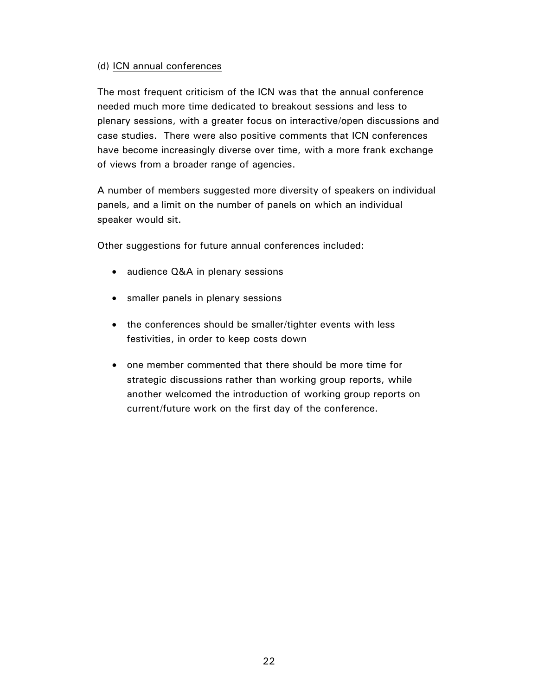### (d) ICN annual conferences

The most frequent criticism of the ICN was that the annual conference needed much more time dedicated to breakout sessions and less to plenary sessions, with a greater focus on interactive/open discussions and case studies. There were also positive comments that ICN conferences have become increasingly diverse over time, with a more frank exchange of views from a broader range of agencies.

A number of members suggested more diversity of speakers on individual panels, and a limit on the number of panels on which an individual speaker would sit.

Other suggestions for future annual conferences included:

- audience Q&A in plenary sessions
- smaller panels in plenary sessions
- the conferences should be smaller/tighter events with less festivities, in order to keep costs down
- one member commented that there should be more time for strategic discussions rather than working group reports, while another welcomed the introduction of working group reports on current/future work on the first day of the conference.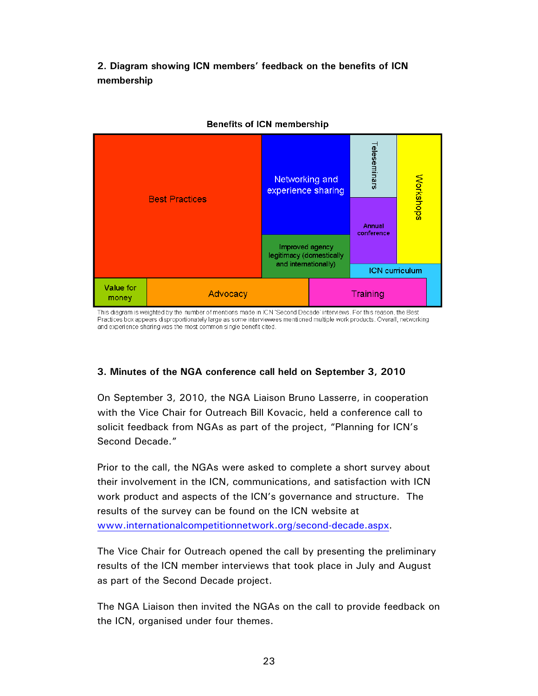**2. Diagram showing ICN members' feedback on the benefits of ICN membership** 



#### **Benefits of ICN membership**

This diagram is weighted by the number of mentions made in ICN 'Second Decade' interviews. For this reason, the Best Practices box appears disproportionately large as some interviewees mentioned multiple work products. Overall, networking and experience sharing was the most common single benefit cited.

### **3. Minutes of the NGA conference call held on September 3, 2010**

On September 3, 2010, the NGA Liaison Bruno Lasserre, in cooperation with the Vice Chair for Outreach Bill Kovacic, held a conference call to solicit feedback from NGAs as part of the project, "Planning for ICN's Second Decade."

Prior to the call, the NGAs were asked to complete a short survey about their involvement in the ICN, communications, and satisfaction with ICN work product and aspects of the ICN's governance and structure. The results of the survey can be found on the ICN website at www.internationalcompetitionnetwork.org/second-decade.aspx.

The Vice Chair for Outreach opened the call by presenting the preliminary results of the ICN member interviews that took place in July and August as part of the Second Decade project.

The NGA Liaison then invited the NGAs on the call to provide feedback on the ICN, organised under four themes.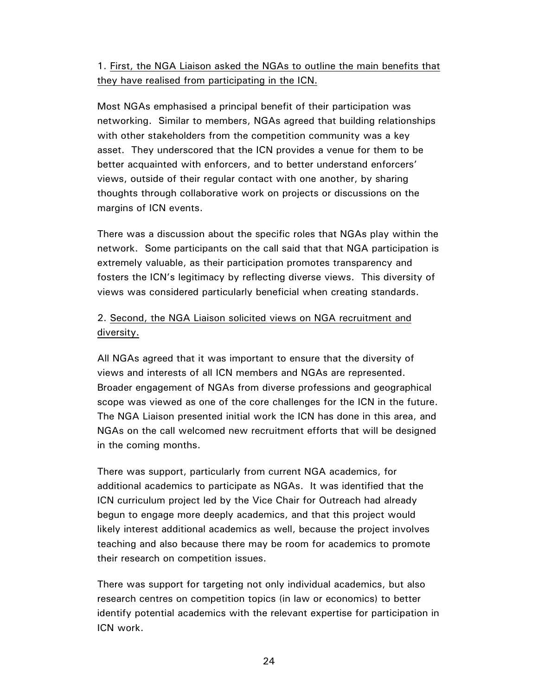# 1. First, the NGA Liaison asked the NGAs to outline the main benefits that they have realised from participating in the ICN.

Most NGAs emphasised a principal benefit of their participation was networking. Similar to members, NGAs agreed that building relationships with other stakeholders from the competition community was a key asset. They underscored that the ICN provides a venue for them to be better acquainted with enforcers, and to better understand enforcers' views, outside of their regular contact with one another, by sharing thoughts through collaborative work on projects or discussions on the margins of ICN events.

There was a discussion about the specific roles that NGAs play within the network. Some participants on the call said that that NGA participation is extremely valuable, as their participation promotes transparency and fosters the ICN's legitimacy by reflecting diverse views. This diversity of views was considered particularly beneficial when creating standards.

# 2. Second, the NGA Liaison solicited views on NGA recruitment and diversity.

All NGAs agreed that it was important to ensure that the diversity of views and interests of all ICN members and NGAs are represented. Broader engagement of NGAs from diverse professions and geographical scope was viewed as one of the core challenges for the ICN in the future. The NGA Liaison presented initial work the ICN has done in this area, and NGAs on the call welcomed new recruitment efforts that will be designed in the coming months.

There was support, particularly from current NGA academics, for additional academics to participate as NGAs. It was identified that the ICN curriculum project led by the Vice Chair for Outreach had already begun to engage more deeply academics, and that this project would likely interest additional academics as well, because the project involves teaching and also because there may be room for academics to promote their research on competition issues.

There was support for targeting not only individual academics, but also research centres on competition topics (in law or economics) to better identify potential academics with the relevant expertise for participation in ICN work.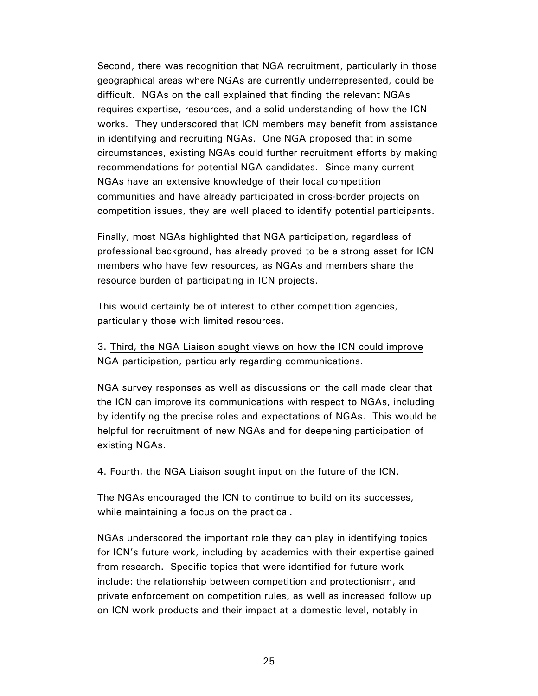Second, there was recognition that NGA recruitment, particularly in those geographical areas where NGAs are currently underrepresented, could be difficult. NGAs on the call explained that finding the relevant NGAs requires expertise, resources, and a solid understanding of how the ICN works. They underscored that ICN members may benefit from assistance in identifying and recruiting NGAs. One NGA proposed that in some circumstances, existing NGAs could further recruitment efforts by making recommendations for potential NGA candidates. Since many current NGAs have an extensive knowledge of their local competition communities and have already participated in cross-border projects on competition issues, they are well placed to identify potential participants.

Finally, most NGAs highlighted that NGA participation, regardless of professional background, has already proved to be a strong asset for ICN members who have few resources, as NGAs and members share the resource burden of participating in ICN projects.

This would certainly be of interest to other competition agencies, particularly those with limited resources.

### 3. Third, the NGA Liaison sought views on how the ICN could improve NGA participation, particularly regarding communications.

NGA survey responses as well as discussions on the call made clear that the ICN can improve its communications with respect to NGAs, including by identifying the precise roles and expectations of NGAs. This would be helpful for recruitment of new NGAs and for deepening participation of existing NGAs.

### 4. Fourth, the NGA Liaison sought input on the future of the ICN.

The NGAs encouraged the ICN to continue to build on its successes, while maintaining a focus on the practical.

NGAs underscored the important role they can play in identifying topics for ICN's future work, including by academics with their expertise gained from research. Specific topics that were identified for future work include: the relationship between competition and protectionism, and private enforcement on competition rules, as well as increased follow up on ICN work products and their impact at a domestic level, notably in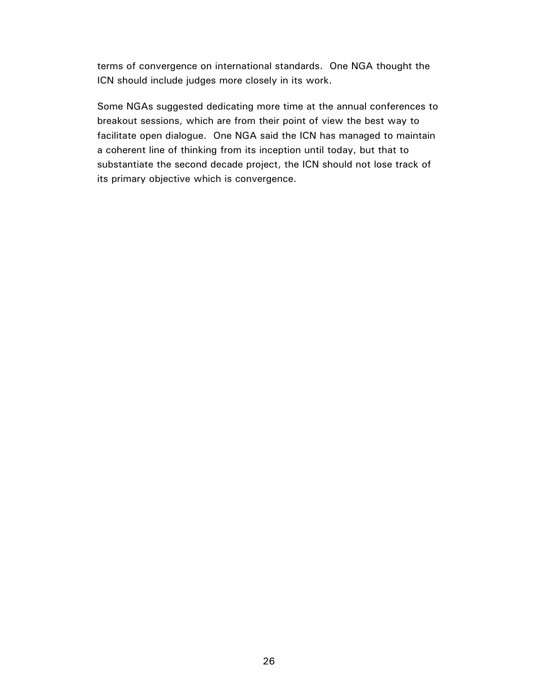terms of convergence on international standards. One NGA thought the ICN should include judges more closely in its work.

Some NGAs suggested dedicating more time at the annual conferences to breakout sessions, which are from their point of view the best way to facilitate open dialogue. One NGA said the ICN has managed to maintain a coherent line of thinking from its inception until today, but that to substantiate the second decade project, the ICN should not lose track of its primary objective which is convergence.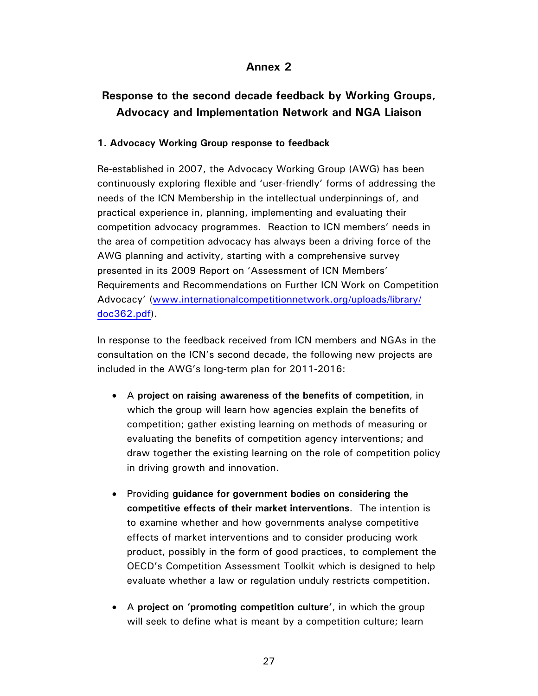# **Annex 2**

# **Response to the second decade feedback by Working Groups, Advocacy and Implementation Network and NGA Liaison**

### **1. Advocacy Working Group response to feedback**

Re-established in 2007, the Advocacy Working Group (AWG) has been continuously exploring flexible and 'user-friendly' forms of addressing the needs of the ICN Membership in the intellectual underpinnings of, and practical experience in, planning, implementing and evaluating their competition advocacy programmes. Reaction to ICN members' needs in the area of competition advocacy has always been a driving force of the AWG planning and activity, starting with a comprehensive survey presented in its 2009 Report on 'Assessment of ICN Members' Requirements and Recommendations on Further ICN Work on Competition Advocacy' (www.internationalcompetitionnetwork.org/uploads/library/ doc362.pdf).

In response to the feedback received from ICN members and NGAs in the consultation on the ICN's second decade, the following new projects are included in the AWG's long-term plan for 2011-2016:

- A **project on raising awareness of the benefits of competition**, in which the group will learn how agencies explain the benefits of competition; gather existing learning on methods of measuring or evaluating the benefits of competition agency interventions; and draw together the existing learning on the role of competition policy in driving growth and innovation.
- Providing **guidance for government bodies on considering the competitive effects of their market interventions**. The intention is to examine whether and how governments analyse competitive effects of market interventions and to consider producing work product, possibly in the form of good practices, to complement the OECD's Competition Assessment Toolkit which is designed to help evaluate whether a law or regulation unduly restricts competition.
- A **project on 'promoting competition culture'**, in which the group will seek to define what is meant by a competition culture; learn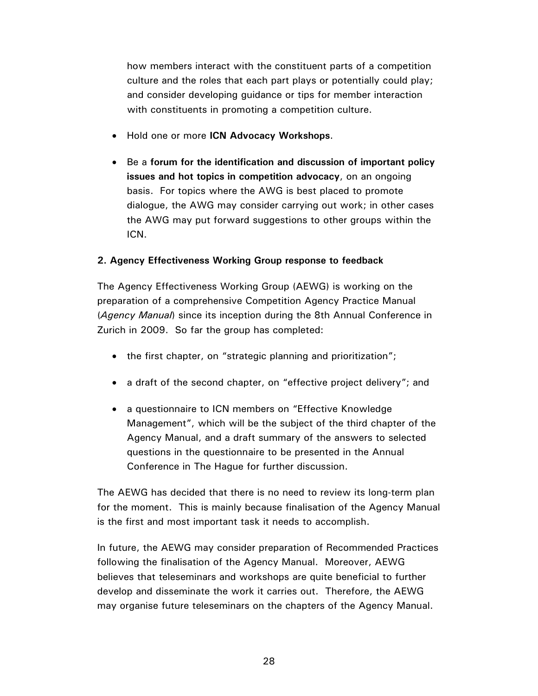how members interact with the constituent parts of a competition culture and the roles that each part plays or potentially could play; and consider developing guidance or tips for member interaction with constituents in promoting a competition culture.

- Hold one or more **ICN Advocacy Workshops**.
- Be a **forum for the identification and discussion of important policy issues and hot topics in competition advocacy**, on an ongoing basis. For topics where the AWG is best placed to promote dialogue, the AWG may consider carrying out work; in other cases the AWG may put forward suggestions to other groups within the ICN.

### **2. Agency Effectiveness Working Group response to feedback**

The Agency Effectiveness Working Group (AEWG) is working on the preparation of a comprehensive Competition Agency Practice Manual (*Agency Manual*) since its inception during the 8th Annual Conference in Zurich in 2009. So far the group has completed:

- the first chapter, on "strategic planning and prioritization";
- a draft of the second chapter, on "effective project delivery"; and
- a questionnaire to ICN members on "Effective Knowledge" Management", which will be the subject of the third chapter of the Agency Manual, and a draft summary of the answers to selected questions in the questionnaire to be presented in the Annual Conference in The Hague for further discussion.

The AEWG has decided that there is no need to review its long-term plan for the moment. This is mainly because finalisation of the Agency Manual is the first and most important task it needs to accomplish.

In future, the AEWG may consider preparation of Recommended Practices following the finalisation of the Agency Manual. Moreover, AEWG believes that teleseminars and workshops are quite beneficial to further develop and disseminate the work it carries out. Therefore, the AEWG may organise future teleseminars on the chapters of the Agency Manual.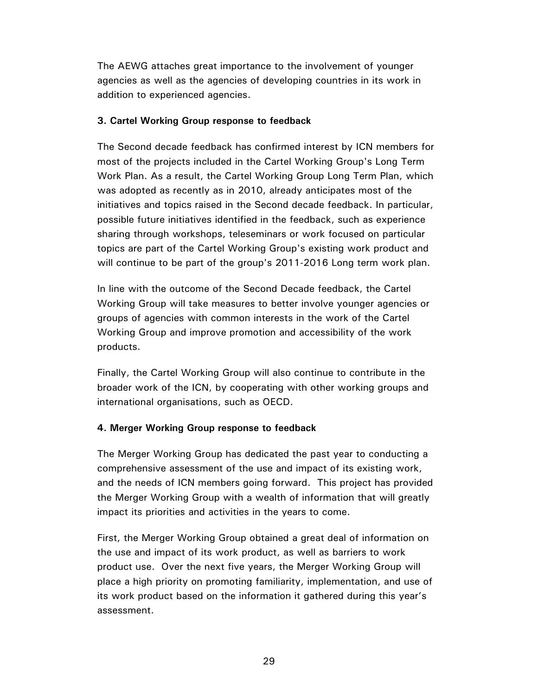The AEWG attaches great importance to the involvement of younger agencies as well as the agencies of developing countries in its work in addition to experienced agencies.

### **3. Cartel Working Group response to feedback**

The Second decade feedback has confirmed interest by ICN members for most of the projects included in the Cartel Working Group's Long Term Work Plan. As a result, the Cartel Working Group Long Term Plan, which was adopted as recently as in 2010, already anticipates most of the initiatives and topics raised in the Second decade feedback. In particular, possible future initiatives identified in the feedback, such as experience sharing through workshops, teleseminars or work focused on particular topics are part of the Cartel Working Group's existing work product and will continue to be part of the group's 2011-2016 Long term work plan.

In line with the outcome of the Second Decade feedback, the Cartel Working Group will take measures to better involve younger agencies or groups of agencies with common interests in the work of the Cartel Working Group and improve promotion and accessibility of the work products.

Finally, the Cartel Working Group will also continue to contribute in the broader work of the ICN, by cooperating with other working groups and international organisations, such as OECD.

### **4. Merger Working Group response to feedback**

The Merger Working Group has dedicated the past year to conducting a comprehensive assessment of the use and impact of its existing work, and the needs of ICN members going forward. This project has provided the Merger Working Group with a wealth of information that will greatly impact its priorities and activities in the years to come.

First, the Merger Working Group obtained a great deal of information on the use and impact of its work product, as well as barriers to work product use. Over the next five years, the Merger Working Group will place a high priority on promoting familiarity, implementation, and use of its work product based on the information it gathered during this year's assessment.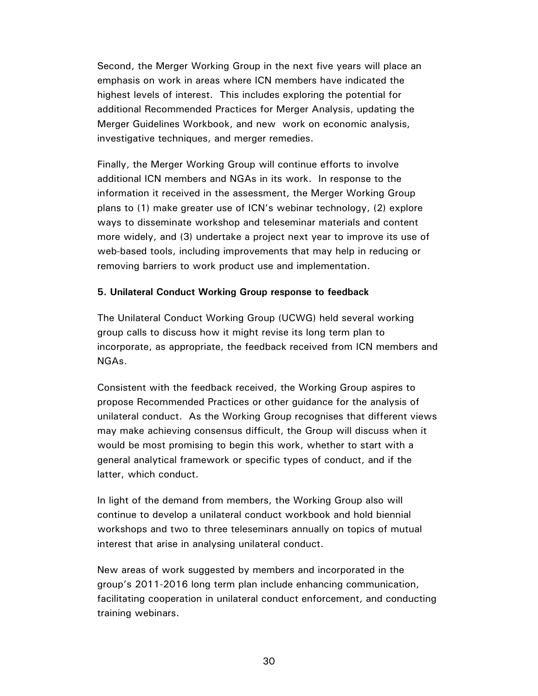Second, the Merger Working Group in the next five years will place an emphasis on work in areas where ICN members have indicated the highest levels of interest. This includes exploring the potential for additional Recommended Practices for Merger Analysis, updating the Merger Guidelines Workbook, and new work on economic analysis, investigative techniques, and merger remedies.

Finally, the Merger Working Group will continue efforts to involve additional ICN members and NGAs in its work. In response to the information it received in the assessment, the Merger Working Group plans to (1) make greater use of ICN's webinar technology, (2) explore ways to disseminate workshop and teleseminar materials and content more widely, and (3) undertake a project next year to improve its use of web-based tools, including improvements that may help in reducing or removing barriers to work product use and implementation.

### **5. Unilateral Conduct Working Group response to feedback**

The Unilateral Conduct Working Group (UCWG) held several working group calls to discuss how it might revise its long term plan to incorporate, as appropriate, the feedback received from ICN members and NGAs.

Consistent with the feedback received, the Working Group aspires to propose Recommended Practices or other guidance for the analysis of unilateral conduct. As the Working Group recognises that different views may make achieving consensus difficult, the Group will discuss when it would be most promising to begin this work, whether to start with a general analytical framework or specific types of conduct, and if the latter, which conduct.

In light of the demand from members, the Working Group also will continue to develop a unilateral conduct workbook and hold biennial workshops and two to three teleseminars annually on topics of mutual interest that arise in analysing unilateral conduct.

New areas of work suggested by members and incorporated in the group's 2011-2016 long term plan include enhancing communication, facilitating cooperation in unilateral conduct enforcement, and conducting training webinars.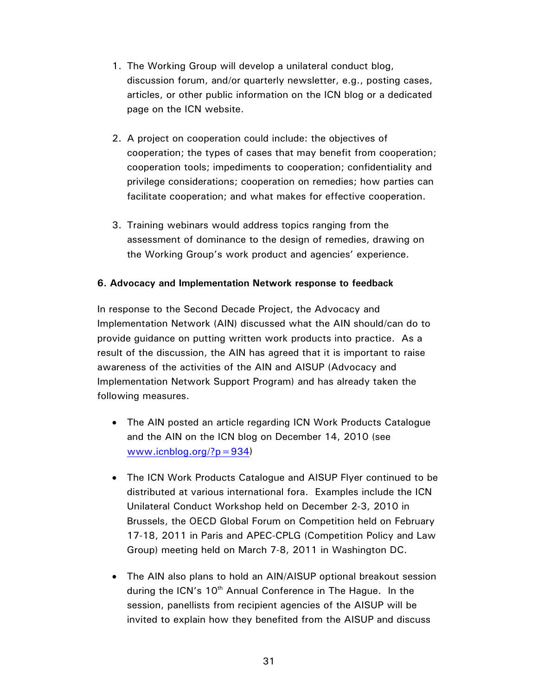- 1. The Working Group will develop a unilateral conduct blog, discussion forum, and/or quarterly newsletter, e.g., posting cases, articles, or other public information on the ICN blog or a dedicated page on the ICN website.
- 2. A project on cooperation could include: the objectives of cooperation; the types of cases that may benefit from cooperation; cooperation tools; impediments to cooperation; confidentiality and privilege considerations; cooperation on remedies; how parties can facilitate cooperation; and what makes for effective cooperation.
- 3. Training webinars would address topics ranging from the assessment of dominance to the design of remedies, drawing on the Working Group's work product and agencies' experience.

### **6. Advocacy and Implementation Network response to feedback**

In response to the Second Decade Project, the Advocacy and Implementation Network (AIN) discussed what the AIN should/can do to provide guidance on putting written work products into practice. As a result of the discussion, the AIN has agreed that it is important to raise awareness of the activities of the AIN and AISUP (Advocacy and Implementation Network Support Program) and has already taken the following measures.

- The AIN posted an article regarding ICN Work Products Catalogue and the AIN on the ICN blog on December 14, 2010 (see www.icnblog.org/?p=934)
- The ICN Work Products Catalogue and AISUP Flyer continued to be distributed at various international fora. Examples include the ICN Unilateral Conduct Workshop held on December 2-3, 2010 in Brussels, the OECD Global Forum on Competition held on February 17-18, 2011 in Paris and APEC-CPLG (Competition Policy and Law Group) meeting held on March 7-8, 2011 in Washington DC.
- The AIN also plans to hold an AIN/AISUP optional breakout session during the ICN's 10<sup>th</sup> Annual Conference in The Hague. In the session, panellists from recipient agencies of the AISUP will be invited to explain how they benefited from the AISUP and discuss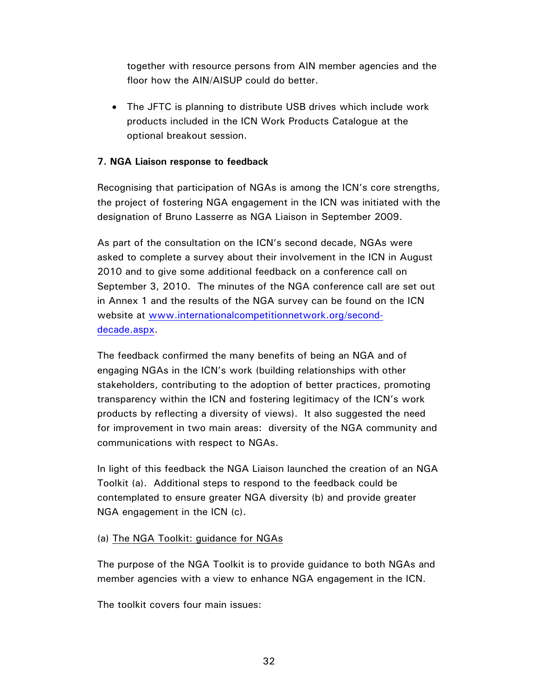together with resource persons from AIN member agencies and the floor how the AIN/AISUP could do better.

• The JFTC is planning to distribute USB drives which include work products included in the ICN Work Products Catalogue at the optional breakout session.

### **7. NGA Liaison response to feedback**

Recognising that participation of NGAs is among the ICN's core strengths, the project of fostering NGA engagement in the ICN was initiated with the designation of Bruno Lasserre as NGA Liaison in September 2009.

As part of the consultation on the ICN's second decade, NGAs were asked to complete a survey about their involvement in the ICN in August 2010 and to give some additional feedback on a conference call on September 3, 2010. The minutes of the NGA conference call are set out in Annex 1 and the results of the NGA survey can be found on the ICN website at www.internationalcompetitionnetwork.org/seconddecade.aspx.

The feedback confirmed the many benefits of being an NGA and of engaging NGAs in the ICN's work (building relationships with other stakeholders, contributing to the adoption of better practices, promoting transparency within the ICN and fostering legitimacy of the ICN's work products by reflecting a diversity of views). It also suggested the need for improvement in two main areas: diversity of the NGA community and communications with respect to NGAs.

In light of this feedback the NGA Liaison launched the creation of an NGA Toolkit (a). Additional steps to respond to the feedback could be contemplated to ensure greater NGA diversity (b) and provide greater NGA engagement in the ICN (c).

### (a) The NGA Toolkit: guidance for NGAs

The purpose of the NGA Toolkit is to provide guidance to both NGAs and member agencies with a view to enhance NGA engagement in the ICN.

The toolkit covers four main issues: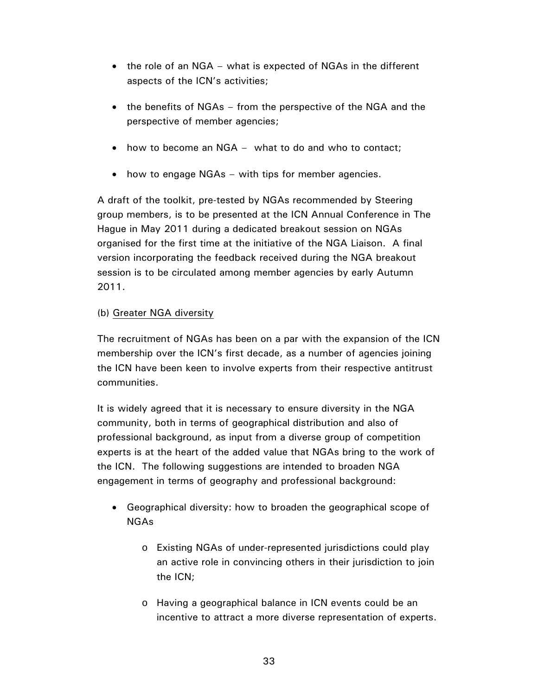- the role of an NGA what is expected of NGAs in the different aspects of the ICN's activities;
- the benefits of NGAs from the perspective of the NGA and the perspective of member agencies;
- how to become an NGA what to do and who to contact;
- how to engage NGAs with tips for member agencies.

A draft of the toolkit, pre-tested by NGAs recommended by Steering group members, is to be presented at the ICN Annual Conference in The Hague in May 2011 during a dedicated breakout session on NGAs organised for the first time at the initiative of the NGA Liaison. A final version incorporating the feedback received during the NGA breakout session is to be circulated among member agencies by early Autumn 2011.

### (b) Greater NGA diversity

The recruitment of NGAs has been on a par with the expansion of the ICN membership over the ICN's first decade, as a number of agencies joining the ICN have been keen to involve experts from their respective antitrust communities.

It is widely agreed that it is necessary to ensure diversity in the NGA community, both in terms of geographical distribution and also of professional background, as input from a diverse group of competition experts is at the heart of the added value that NGAs bring to the work of the ICN. The following suggestions are intended to broaden NGA engagement in terms of geography and professional background:

- Geographical diversity: how to broaden the geographical scope of NGAs
	- o Existing NGAs of under-represented jurisdictions could play an active role in convincing others in their jurisdiction to join the ICN;
	- o Having a geographical balance in ICN events could be an incentive to attract a more diverse representation of experts.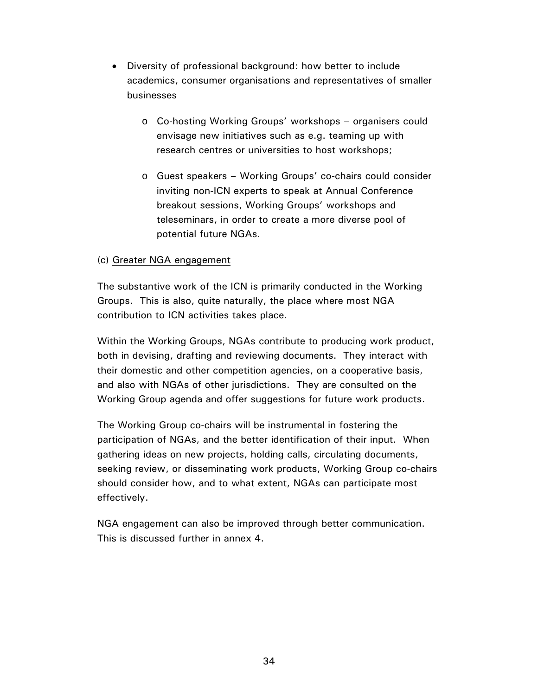- Diversity of professional background: how better to include academics, consumer organisations and representatives of smaller businesses
	- o Co-hosting Working Groups' workshops organisers could envisage new initiatives such as e.g. teaming up with research centres or universities to host workshops;
	- o Guest speakers Working Groups' co-chairs could consider inviting non-ICN experts to speak at Annual Conference breakout sessions, Working Groups' workshops and teleseminars, in order to create a more diverse pool of potential future NGAs.

### (c) Greater NGA engagement

The substantive work of the ICN is primarily conducted in the Working Groups. This is also, quite naturally, the place where most NGA contribution to ICN activities takes place.

Within the Working Groups, NGAs contribute to producing work product, both in devising, drafting and reviewing documents. They interact with their domestic and other competition agencies, on a cooperative basis, and also with NGAs of other jurisdictions. They are consulted on the Working Group agenda and offer suggestions for future work products.

The Working Group co-chairs will be instrumental in fostering the participation of NGAs, and the better identification of their input. When gathering ideas on new projects, holding calls, circulating documents, seeking review, or disseminating work products, Working Group co-chairs should consider how, and to what extent, NGAs can participate most effectively.

NGA engagement can also be improved through better communication. This is discussed further in annex 4.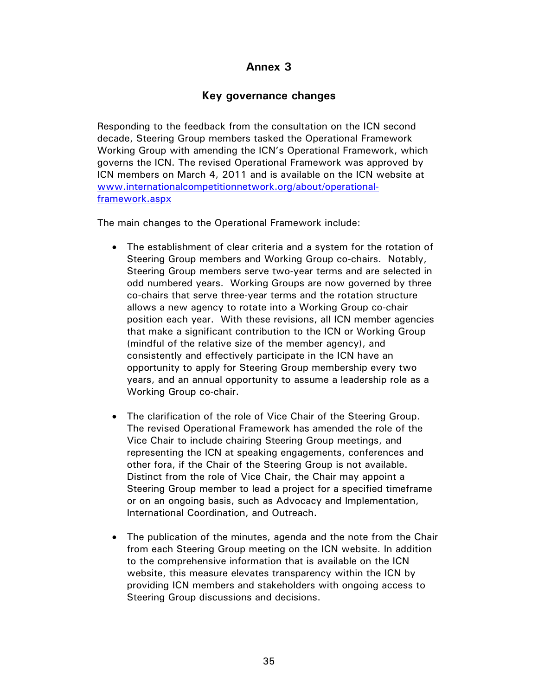# **Annex 3**

# **Key governance changes**

Responding to the feedback from the consultation on the ICN second decade, Steering Group members tasked the Operational Framework Working Group with amending the ICN's Operational Framework, which governs the ICN. The revised Operational Framework was approved by ICN members on March 4, 2011 and is available on the ICN website at www.internationalcompetitionnetwork.org/about/operationalframework.aspx

The main changes to the Operational Framework include:

- The establishment of clear criteria and a system for the rotation of Steering Group members and Working Group co-chairs. Notably, Steering Group members serve two-year terms and are selected in odd numbered years. Working Groups are now governed by three co-chairs that serve three-year terms and the rotation structure allows a new agency to rotate into a Working Group co-chair position each year. With these revisions, all ICN member agencies that make a significant contribution to the ICN or Working Group (mindful of the relative size of the member agency), and consistently and effectively participate in the ICN have an opportunity to apply for Steering Group membership every two years, and an annual opportunity to assume a leadership role as a Working Group co-chair.
- The clarification of the role of Vice Chair of the Steering Group. The revised Operational Framework has amended the role of the Vice Chair to include chairing Steering Group meetings, and representing the ICN at speaking engagements, conferences and other fora, if the Chair of the Steering Group is not available. Distinct from the role of Vice Chair, the Chair may appoint a Steering Group member to lead a project for a specified timeframe or on an ongoing basis, such as Advocacy and Implementation, International Coordination, and Outreach.
- The publication of the minutes, agenda and the note from the Chair from each Steering Group meeting on the ICN website. In addition to the comprehensive information that is available on the ICN website, this measure elevates transparency within the ICN by providing ICN members and stakeholders with ongoing access to Steering Group discussions and decisions.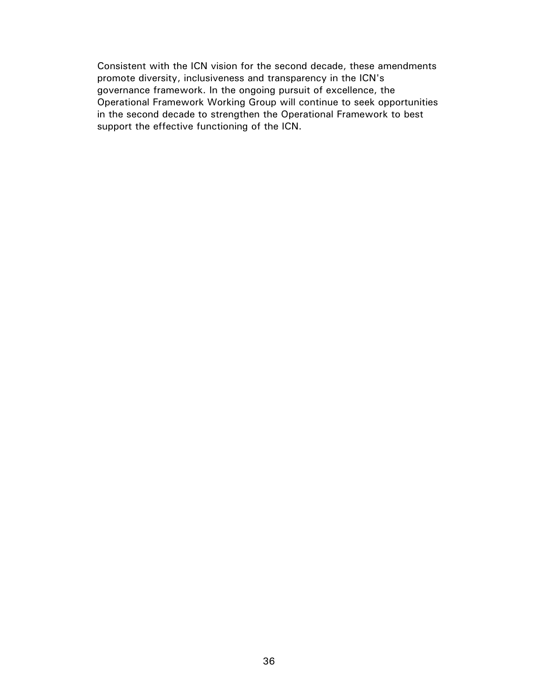Consistent with the ICN vision for the second decade, these amendments promote diversity, inclusiveness and transparency in the ICN's governance framework. In the ongoing pursuit of excellence, the Operational Framework Working Group will continue to seek opportunities in the second decade to strengthen the Operational Framework to best support the effective functioning of the ICN.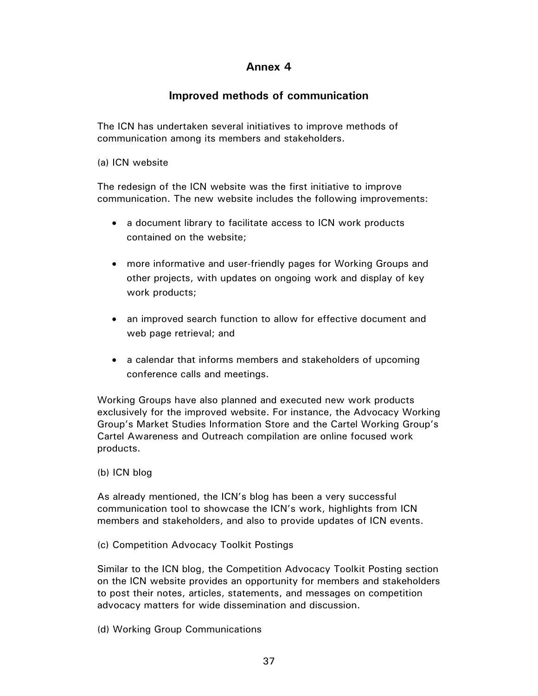### **Annex 4**

## **Improved methods of communication**

The ICN has undertaken several initiatives to improve methods of communication among its members and stakeholders.

(a) ICN website

The redesign of the ICN website was the first initiative to improve communication. The new website includes the following improvements:

- a document library to facilitate access to ICN work products contained on the website;
- more informative and user-friendly pages for Working Groups and other projects, with updates on ongoing work and display of key work products;
- an improved search function to allow for effective document and web page retrieval; and
- a calendar that informs members and stakeholders of upcoming conference calls and meetings.

Working Groups have also planned and executed new work products exclusively for the improved website. For instance, the Advocacy Working Group's Market Studies Information Store and the Cartel Working Group's Cartel Awareness and Outreach compilation are online focused work products.

#### (b) ICN blog

As already mentioned, the ICN's blog has been a very successful communication tool to showcase the ICN's work, highlights from ICN members and stakeholders, and also to provide updates of ICN events.

(c) Competition Advocacy Toolkit Postings

Similar to the ICN blog, the Competition Advocacy Toolkit Posting section on the ICN website provides an opportunity for members and stakeholders to post their notes, articles, statements, and messages on competition advocacy matters for wide dissemination and discussion.

(d) Working Group Communications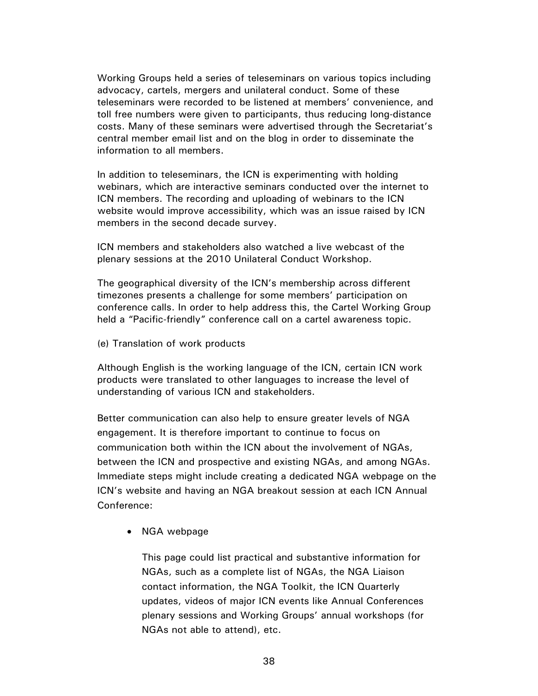Working Groups held a series of teleseminars on various topics including advocacy, cartels, mergers and unilateral conduct. Some of these teleseminars were recorded to be listened at members' convenience, and toll free numbers were given to participants, thus reducing long-distance costs. Many of these seminars were advertised through the Secretariat's central member email list and on the blog in order to disseminate the information to all members.

In addition to teleseminars, the ICN is experimenting with holding webinars, which are interactive seminars conducted over the internet to ICN members. The recording and uploading of webinars to the ICN website would improve accessibility, which was an issue raised by ICN members in the second decade survey.

ICN members and stakeholders also watched a live webcast of the plenary sessions at the 2010 Unilateral Conduct Workshop.

The geographical diversity of the ICN's membership across different timezones presents a challenge for some members' participation on conference calls. In order to help address this, the Cartel Working Group held a "Pacific-friendly" conference call on a cartel awareness topic.

(e) Translation of work products

Although English is the working language of the ICN, certain ICN work products were translated to other languages to increase the level of understanding of various ICN and stakeholders.

Better communication can also help to ensure greater levels of NGA engagement. It is therefore important to continue to focus on communication both within the ICN about the involvement of NGAs, between the ICN and prospective and existing NGAs, and among NGAs. Immediate steps might include creating a dedicated NGA webpage on the ICN's website and having an NGA breakout session at each ICN Annual Conference:

• NGA webpage

This page could list practical and substantive information for NGAs, such as a complete list of NGAs, the NGA Liaison contact information, the NGA Toolkit, the ICN Quarterly updates, videos of major ICN events like Annual Conferences plenary sessions and Working Groups' annual workshops (for NGAs not able to attend), etc.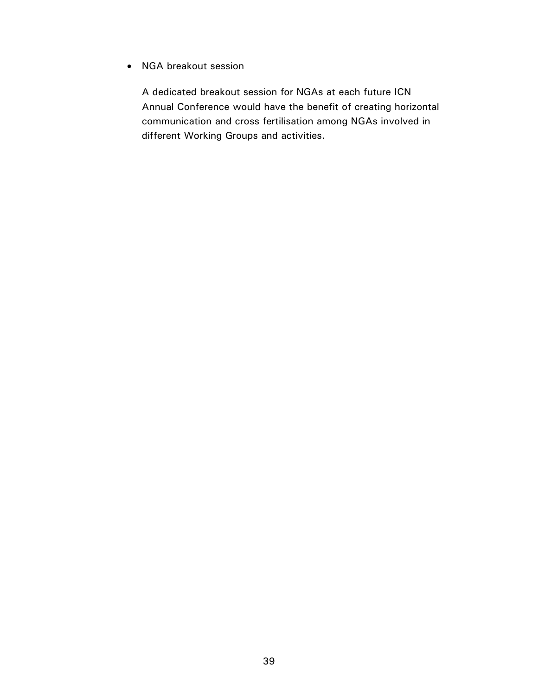• NGA breakout session

A dedicated breakout session for NGAs at each future ICN Annual Conference would have the benefit of creating horizontal communication and cross fertilisation among NGAs involved in different Working Groups and activities.